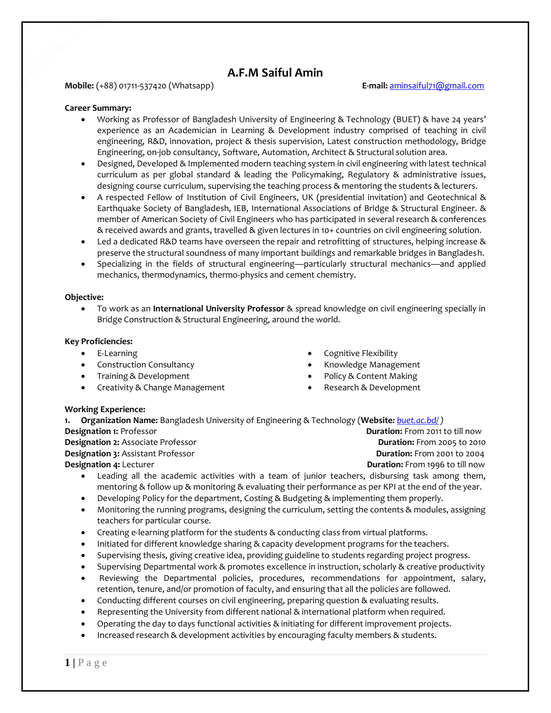# **A.F.M Saiful Amin**

# **Mobile:** (+88) 01711-537420 (Whatsapp) **E-mail:** [aminsaiful71@gmail.com](mailto:aminsaiful71@gmail.com)

# **Career Summary:**

- Working as Professor of Bangladesh University of Engineering & Technology (BUET) & have 24 years' experience as an Academician in Learning & Development industry comprised of teaching in civil engineering, R&D, innovation, project & thesis supervision, Latest construction methodology, Bridge Engineering, on-job consultancy, Software, Automation, Architect & Structural solution area.
- Designed, Developed & Implemented modern teaching system in civil engineering with latest technical curriculum as per global standard & leading the Policymaking, Regulatory & administrative issues, designing course curriculum, supervising the teaching process & mentoring the students & lecturers.
- A respected Fellow of Institution of Civil Engineers, UK (presidential invitation) and Geotechnical & Earthquake Society of Bangladesh, IEB, International Associations of Bridge & Structural Engineer. & member of American Society of Civil Engineers who has participated in several research & conferences & received awards and grants, travelled & given lectures in 10+ countries on civil engineering solution.
- Led a dedicated R&D teams have overseen the repair and retrofitting of structures, helping increase & preserve the structural soundness of many important buildings and remarkable bridges in Bangladesh.
- Specializing in the fields of structural engineering—particularly structural mechanics—and applied mechanics, thermodynamics, thermo-physics and cement chemistry.

### **Objective:**

• To work as an **International University Professor** & spread knowledge on civil engineering specially in Bridge Construction & Structural Engineering, around the world.

### **Key Proficiencies:**

- E-Learning
- Construction Consultancy
- Training & Development
- Creativity & Change Management
- Cognitive Flexibility
- Knowledge Management
- Policy & Content Making
- Research & Development

#### **Working Experience:**

| 1. Organization Name: Bangladesh University of Engineering & Technology (Website: buet.ac.bd/) |                                        |
|------------------------------------------------------------------------------------------------|----------------------------------------|
| <b>Designation 1:</b> Professor                                                                | <b>Duration:</b> From 2011 to till now |
| <b>Designation 2:</b> Associate Professor                                                      | <b>Duration:</b> From 2005 to 2010     |
| <b>Designation 3:</b> Assistant Professor                                                      | <b>Duration:</b> From 2001 to 2004     |
| <b>Designation 4: Lecturer</b>                                                                 | <b>Duration:</b> From 1996 to till now |
|                                                                                                |                                        |

- Leading all the academic activities with a team of junior teachers, disbursing task among them, mentoring & follow up & monitoring & evaluating their performance as per KPI at the end of the year.
- Developing Policy for the department, Costing & Budgeting & implementing them properly.
- Monitoring the running programs, designing the curriculum, setting the contents & modules, assigning teachers for particular course.
- Creating e-learning platform for the students & conducting class from virtual platforms.
- Initiated for different knowledge sharing & capacity development programs for the teachers.
- Supervising thesis, giving creative idea, providing guideline to students regarding project progress.
- Supervising Departmental work & promotes excellence in instruction, scholarly & creative productivity
- Reviewing the Departmental policies, procedures, recommendations for appointment, salary, retention, tenure, and/or promotion of faculty, and ensuring that all the policies are followed.
- Conducting different courses on civil engineering, preparing question & evaluating results.
- Representing the University from different national & international platform when required.
- Operating the day to days functional activities & initiating for different improvement projects.
- Increased research & development activities by encouraging faculty members & students.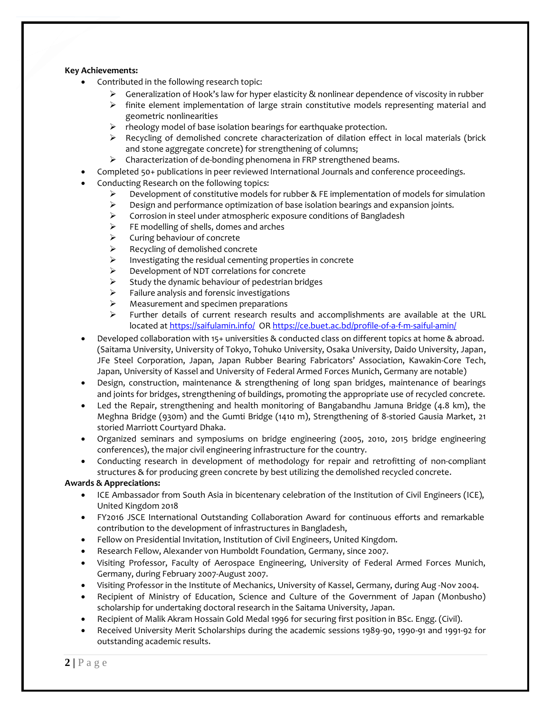# **Key Achievements:**

- Contributed in the following research topic:
	- $\triangleright$  Generalization of Hook's law for hyper elasticity & nonlinear dependence of viscosity in rubber
	- $\triangleright$  finite element implementation of large strain constitutive models representing material and geometric nonlinearities
	- ➢ rheology model of base isolation bearings for earthquake protection.
	- $\triangleright$  Recycling of demolished concrete characterization of dilation effect in local materials (brick and stone aggregate concrete) for strengthening of columns;
	- ➢ Characterization of de-bonding phenomena in FRP strengthened beams.
- Completed 50+ publications in peer reviewed International Journals and conference proceedings.
- Conducting Research on the following topics:
	- $\triangleright$  Development of constitutive models for rubber & FE implementation of models for simulation
	- $\triangleright$  Design and performance optimization of base isolation bearings and expansion joints.
	- ➢ Corrosion in steel under atmospheric exposure conditions of Bangladesh
	- $\triangleright$  FE modelling of shells, domes and arches
	- ➢ Curing behaviour of concrete
	- ➢ Recycling of demolished concrete
	- ➢ Investigating the residual cementing properties in concrete
	- $\triangleright$  Development of NDT correlations for concrete<br> $\triangleright$  Study the dynamic behaviour of pedestrian bric
	- Study the dynamic behaviour of pedestrian bridges
	- ➢ Failure analysis and forensic investigations
	- ➢ Measurement and specimen preparations
	- ➢ Further details of current research results and accomplishments are available at the URL located a[t https://saifulamin.info/](https://saifulamin.info/) OR<https://ce.buet.ac.bd/profile-of-a-f-m-saiful-amin/>
- Developed collaboration with 15+ universities & conducted class on different topics at home & abroad. (Saitama University, University of Tokyo, Tohuko University, Osaka University, Daido University, Japan, JFe Steel Corporation, Japan, Japan Rubber Bearing Fabricators' Association, Kawakin-Core Tech, Japan, University of Kassel and University of Federal Armed Forces Munich, Germany are notable)
- Design, construction, maintenance & strengthening of long span bridges, maintenance of bearings and joints for bridges, strengthening of buildings, promoting the appropriate use of recycled concrete.
- Led the Repair, strengthening and health monitoring of Bangabandhu Jamuna Bridge (4.8 km), the Meghna Bridge (930m) and the Gumti Bridge (1410 m), Strengthening of 8-storied Gausia Market, 21 storied Marriott Courtyard Dhaka.
- Organized seminars and symposiums on bridge engineering (2005, 2010, 2015 bridge engineering conferences), the major civil engineering infrastructure for the country.
- Conducting research in development of methodology for repair and retrofitting of non-compliant structures & for producing green concrete by best utilizing the demolished recycled concrete.

# **Awards & Appreciations:**

- ICE Ambassador from South Asia in bicentenary celebration of the Institution of Civil Engineers (ICE), United Kingdom 2018
- FY2016 JSCE International Outstanding Collaboration Award for continuous efforts and remarkable contribution to the development of infrastructures in Bangladesh,
- Fellow on Presidential Invitation, Institution of Civil Engineers, United Kingdom.
- Research Fellow, Alexander von Humboldt Foundation, Germany, since 2007.
- Visiting Professor, Faculty of Aerospace Engineering, University of Federal Armed Forces Munich, Germany, during February 2007-August 2007.
- Visiting Professor in the Institute of Mechanics, University of Kassel, Germany, during Aug -Nov 2004.
- Recipient of Ministry of Education, Science and Culture of the Government of Japan (Monbusho) scholarship for undertaking doctoral research in the Saitama University, Japan.
- Recipient of Malik Akram Hossain Gold Medal 1996 for securing first position in BSc. Engg. (Civil).
- Received University Merit Scholarships during the academic sessions 1989-90, 1990-91 and 1991-92 for outstanding academic results.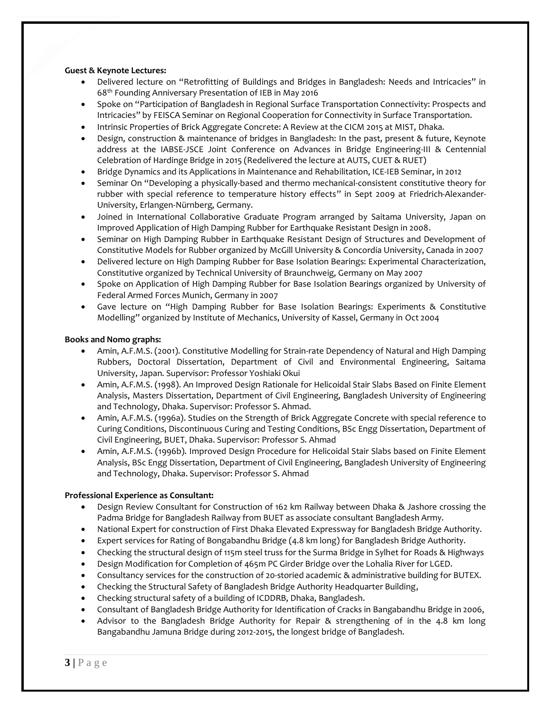# **Guest & Keynote Lectures:**

- Delivered lecture on "Retrofitting of Buildings and Bridges in Bangladesh: Needs and Intricacies" in 68th Founding Anniversary Presentation of IEB in May 2016
- Spoke on "Participation of Bangladesh in Regional Surface Transportation Connectivity: Prospects and Intricacies" by FEISCA Seminar on Regional Cooperation for Connectivity in Surface Transportation.
- Intrinsic Properties of Brick Aggregate Concrete: A Review at the CICM 2015 at MIST, Dhaka.
- Design, construction & maintenance of bridges in Bangladesh: In the past, present & future, Keynote address at the IABSE-JSCE Joint Conference on Advances in Bridge Engineering-III & Centennial Celebration of Hardinge Bridge in 2015 (Redelivered the lecture at AUTS, CUET & RUET)
- Bridge Dynamics and its Applications in Maintenance and Rehabilitation, ICE-IEB Seminar, in 2012
- Seminar On "Developing a physically-based and thermo mechanical-consistent constitutive theory for rubber with special reference to temperature history effects" in Sept 2009 at Friedrich-Alexander-University, Erlangen-Nürnberg, Germany.
- Joined in International Collaborative Graduate Program arranged by Saitama University, Japan on Improved Application of High Damping Rubber for Earthquake Resistant Design in 2008.
- Seminar on High Damping Rubber in Earthquake Resistant Design of Structures and Development of Constitutive Models for Rubber organized by McGill University & Concordia University, Canada in 2007
- Delivered lecture on High Damping Rubber for Base Isolation Bearings: Experimental Characterization, Constitutive organized by Technical University of Braunchweig, Germany on May 2007
- Spoke on Application of High Damping Rubber for Base Isolation Bearings organized by University of Federal Armed Forces Munich, Germany in 2007
- Gave lecture on "High Damping Rubber for Base Isolation Bearings: Experiments & Constitutive Modelling" organized by Institute of Mechanics, University of Kassel, Germany in Oct 2004

### **Books and Nomo graphs:**

- Amin, A.F.M.S. (2001). Constitutive Modelling for Strain-rate Dependency of Natural and High Damping Rubbers, Doctoral Dissertation, Department of Civil and Environmental Engineering, Saitama University, Japan. Supervisor: Professor Yoshiaki Okui
- Amin, A.F.M.S. (1998). An Improved Design Rationale for Helicoidal Stair Slabs Based on Finite Element Analysis, Masters Dissertation, Department of Civil Engineering, Bangladesh University of Engineering and Technology, Dhaka. Supervisor: Professor S. Ahmad.
- Amin, A.F.M.S. (1996a). Studies on the Strength of Brick Aggregate Concrete with special reference to Curing Conditions, Discontinuous Curing and Testing Conditions, BSc Engg Dissertation, Department of Civil Engineering, BUET, Dhaka. Supervisor: Professor S. Ahmad
- Amin, A.F.M.S. (1996b). Improved Design Procedure for Helicoidal Stair Slabs based on Finite Element Analysis, BSc Engg Dissertation, Department of Civil Engineering, Bangladesh University of Engineering and Technology, Dhaka. Supervisor: Professor S. Ahmad

# **Professional Experience as Consultant:**

- Design Review Consultant for Construction of 162 km Railway between Dhaka & Jashore crossing the Padma Bridge for Bangladesh Railway from BUET as associate consultant Bangladesh Army.
- National Expert for construction of First Dhaka Elevated Expressway for Bangladesh Bridge Authority.
- Expert services for Rating of Bongabandhu Bridge (4.8 km long) for Bangladesh Bridge Authority.
- Checking the structural design of 115m steel truss for the Surma Bridge in Sylhet for Roads & Highways
- Design Modification for Completion of 465m PC Girder Bridge over the Lohalia River for LGED.
- Consultancy services for the construction of 20-storied academic & administrative building for BUTEX.
- Checking the Structural Safety of Bangladesh Bridge Authority Headquarter Building,
- Checking structural safety of a building of ICDDRB, Dhaka, Bangladesh.
- Consultant of Bangladesh Bridge Authority for Identification of Cracks in Bangabandhu Bridge in 2006,
- Advisor to the Bangladesh Bridge Authority for Repair & strengthening of in the 4.8 km long Bangabandhu Jamuna Bridge during 2012-2015, the longest bridge of Bangladesh.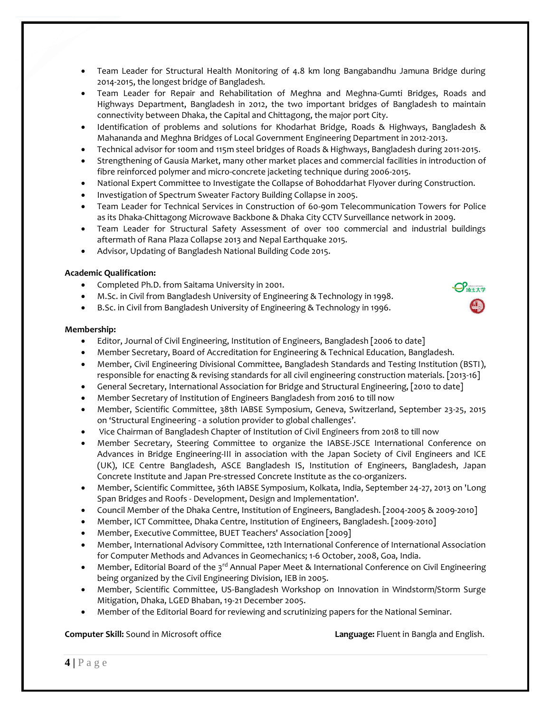- Team Leader for Structural Health Monitoring of 4.8 km long Bangabandhu Jamuna Bridge during 2014-2015, the longest bridge of Bangladesh.
- Team Leader for Repair and Rehabilitation of Meghna and Meghna-Gumti Bridges, Roads and Highways Department, Bangladesh in 2012, the two important bridges of Bangladesh to maintain connectivity between Dhaka, the Capital and Chittagong, the major port City.
- Identification of problems and solutions for Khodarhat Bridge, Roads & Highways, Bangladesh & Mahananda and Meghna Bridges of Local Government Engineering Department in 2012-2013.
- Technical advisor for 100m and 115m steel bridges of Roads & Highways, Bangladesh during 2011-2015.
- Strengthening of Gausia Market, many other market places and commercial facilities in introduction of fibre reinforced polymer and micro-concrete jacketing technique during 2006-2015.
- National Expert Committee to Investigate the Collapse of Bohoddarhat Flyover during Construction.
- Investigation of Spectrum Sweater Factory Building Collapse in 2005.
- Team Leader for Technical Services in Construction of 60-90m Telecommunication Towers for Police as its Dhaka-Chittagong Microwave Backbone & Dhaka City CCTV Surveillance network in 2009.
- Team Leader for Structural Safety Assessment of over 100 commercial and industrial buildings aftermath of Rana Plaza Collapse 2013 and Nepal Earthquake 2015.
- Advisor, Updating of Bangladesh National Building Code 2015.

# **Academic Qualification:**

- Completed Ph.D. from Saitama University in 2001.
- M.Sc. in Civil from Bangladesh University of Engineering & Technology in 1998.
- B.Sc. in Civil from Bangladesh University of Engineering & Technology in 1996.

# **Membership:**

- Editor, Journal of Civil Engineering, Institution of Engineers, Bangladesh [2006 to date]
- Member Secretary, Board of Accreditation for Engineering & Technical Education, Bangladesh.
- Member, Civil Engineering Divisional Committee, Bangladesh Standards and Testing Institution (BSTI), responsible for enacting & revising standards for all civil engineering construction materials. [2013-16]
- General Secretary, International Association for Bridge and Structural Engineering, [2010 to date]
- Member Secretary of Institution of Engineers Bangladesh from 2016 to till now
- Member, Scientific Committee, 38th IABSE Symposium, Geneva, Switzerland, September 23-25, 2015 on 'Structural Engineering - a solution provider to global challenges'.
- Vice Chairman of Bangladesh Chapter of Institution of Civil Engineers from 2018 to till now
- Member Secretary, Steering Committee to organize the IABSE-JSCE International Conference on Advances in Bridge Engineering-III in association with the Japan Society of Civil Engineers and ICE (UK), ICE Centre Bangladesh, ASCE Bangladesh IS, Institution of Engineers, Bangladesh, Japan Concrete Institute and Japan Pre-stressed Concrete Institute as the co-organizers.
- Member, Scientific Committee, 36th IABSE Symposium, Kolkata, India, September 24-27, 2013 on 'Long Span Bridges and Roofs - Development, Design and Implementation'.
- Council Member of the Dhaka Centre, Institution of Engineers, Bangladesh. [2004-2005 & 2009-2010]
- Member, ICT Committee, Dhaka Centre, Institution of Engineers, Bangladesh. [2009-2010]
- Member, Executive Committee, BUET Teachers' Association [2009]
- Member, International Advisory Committee, 12th International Conference of International Association for Computer Methods and Advances in Geomechanics; 1-6 October, 2008, Goa, India.
- Member, Editorial Board of the  $3^{rd}$  Annual Paper Meet & International Conference on Civil Engineering being organized by the Civil Engineering Division, IEB in 2005.
- Member, Scientific Committee, US-Bangladesh Workshop on Innovation in Windstorm/Storm Surge Mitigation, Dhaka, LGED Bhaban, 19-21 December 2005.
- Member of the Editorial Board for reviewing and scrutinizing papers for the National Seminar.

# **Computer Skill:** Sound in Microsoft office **Language:** Fluent in Bangla and English.

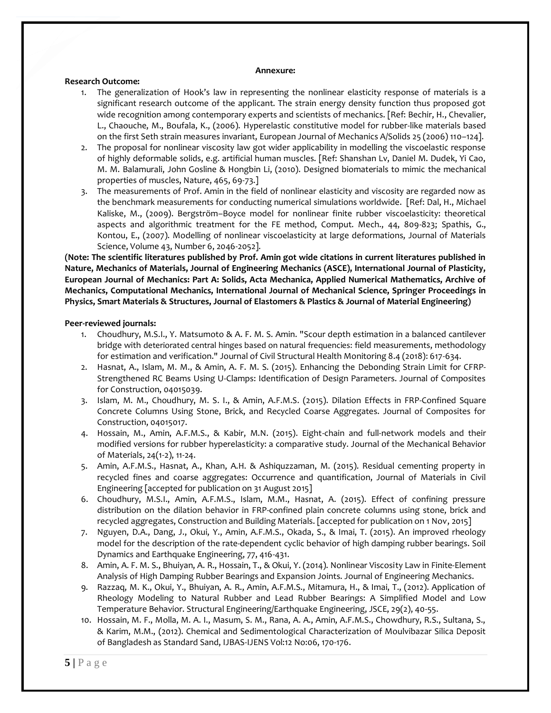#### **Annexure:**

### **Research Outcome:**

- 1. The generalization of Hook's law in representing the nonlinear elasticity response of materials is a significant research outcome of the applicant. The strain energy density function thus proposed got wide recognition among contemporary experts and scientists of mechanics. [Ref: Bechir, H., Chevalier, L., Chaouche, M., Boufala, K., (2006). Hyperelastic constitutive model for rubber-like materials based on the first Seth strain measures invariant, European Journal of Mechanics A/Solids 25 (2006) 110–124].
- 2. The proposal for nonlinear viscosity law got wider applicability in modelling the viscoelastic response of highly deformable solids, e.g. artificial human muscles. [Ref: Shanshan Lv, Daniel M. Dudek, Yi Cao, M. M. Balamurali, John Gosline & Hongbin Li, (2010). Designed biomaterials to mimic the mechanical properties of muscles, Nature, 465, 69-73.]
- 3. The measurements of Prof. Amin in the field of nonlinear elasticity and viscosity are regarded now as the benchmark measurements for conducting numerical simulations worldwide. [Ref: Dal, H., Michael Kaliske, M., (2009). Bergström–Boyce model for nonlinear finite rubber viscoelasticity: theoretical aspects and algorithmic treatment for the FE method, Comput. Mech., 44, 809-823; Spathis, G., Kontou, E., (2007). Modelling of nonlinear viscoelasticity at large deformations, Journal of Materials Science, Volume 43, Number 6, 2046-2052].

**(Note: The scientific literatures published by Prof. Amin got wide citations in current literatures published in Nature, Mechanics of Materials, Journal of Engineering Mechanics (ASCE), International Journal of Plasticity, European Journal of Mechanics: Part A: Solids, Acta Mechanica, Applied Numerical Mathematics, Archive of Mechanics, Computational Mechanics, International Journal of Mechanical Science, Springer Proceedings in Physics, Smart Materials & Structures, Journal of Elastomers & Plastics & Journal of Material Engineering)**

### **Peer-reviewed journals:**

- 1. Choudhury, M.S.I., Y. Matsumoto & A. F. M. S. Amin. "Scour depth estimation in a balanced cantilever bridge with deteriorated central hinges based on natural frequencies: field measurements, methodology for estimation and verification." Journal of Civil Structural Health Monitoring 8.4 (2018): 617-634.
- 2. Hasnat, A., Islam, M. M., & Amin, A. F. M. S. (2015). Enhancing the Debonding Strain Limit for CFRP-Strengthened RC Beams Using U-Clamps: Identification of Design Parameters. Journal of Composites for Construction, 04015039.
- 3. Islam, M. M., Choudhury, M. S. I., & Amin, A.F.M.S. (2015). Dilation Effects in FRP-Confined Square Concrete Columns Using Stone, Brick, and Recycled Coarse Aggregates. Journal of Composites for Construction, 04015017.
- 4. Hossain, M., Amin, A.F.M.S., & Kabir, M.N. (2015). Eight-chain and full-network models and their modified versions for rubber hyperelasticity: a comparative study. Journal of the Mechanical Behavior of Materials, 24(1-2), 11-24.
- 5. Amin, A.F.M.S., Hasnat, A., Khan, A.H. & Ashiquzzaman, M. (2015). Residual cementing property in recycled fines and coarse aggregates: Occurrence and quantification, Journal of Materials in Civil Engineering [accepted for publication on 31 August 2015]
- 6. Choudhury, M.S.I., Amin, A.F.M.S., Islam, M.M., Hasnat, A. (2015). Effect of confining pressure distribution on the dilation behavior in FRP-confined plain concrete columns using stone, brick and recycled aggregates, Construction and Building Materials. [accepted for publication on 1 Nov, 2015]
- 7. Nguyen, D.A., Dang, J., Okui, Y., Amin, A.F.M.S., Okada, S., & Imai, T. (2015). An improved rheology model for the description of the rate-dependent cyclic behavior of high damping rubber bearings. Soil Dynamics and Earthquake Engineering, 77, 416-431.
- 8. Amin, A. F. M. S., Bhuiyan, A. R., Hossain, T., & Okui, Y. (2014). Nonlinear Viscosity Law in Finite-Element Analysis of High Damping Rubber Bearings and Expansion Joints. Journal of Engineering Mechanics.
- 9. Razzaq, M. K., Okui, Y., Bhuiyan, A. R., Amin, A.F.M.S., Mitamura, H., & Imai, T., (2012). Application of Rheology Modeling to Natural Rubber and Lead Rubber Bearings: A Simplified Model and Low Temperature Behavior. Structural Engineering/Earthquake Engineering, JSCE, 29(2), 40-55.
- 10. Hossain, M. F., Molla, M. A. I., Masum, S. M., Rana, A. A., Amin, A.F.M.S., Chowdhury, R.S., Sultana, S., & Karim, M.M., (2012). Chemical and Sedimentological Characterization of Moulvibazar Silica Deposit of Bangladesh as Standard Sand, IJBAS-IJENS Vol:12 No:06, 170-176.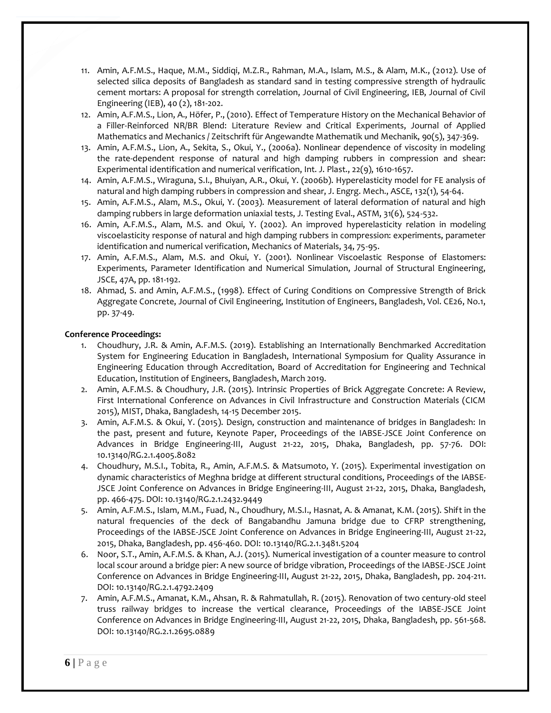- 11. Amin, A.F.M.S., Haque, M.M., Siddiqi, M.Z.R., Rahman, M.A., Islam, M.S., & Alam, M.K., (2012). Use of selected silica deposits of Bangladesh as standard sand in testing compressive strength of hydraulic cement mortars: A proposal for strength correlation, Journal of Civil Engineering, IEB, Journal of Civil Engineering (IEB), 40 (2), 181-202.
- 12. Amin, A.F.M.S., Lion, A., Höfer, P., (2010). Effect of Temperature History on the Mechanical Behavior of a Filler-Reinforced NR/BR Blend: Literature Review and Critical Experiments, Journal of Applied Mathematics and Mechanics / Zeitschrift für Angewandte Mathematik und Mechanik, 90(5), 347-369.
- 13. Amin, A.F.M.S., Lion, A., Sekita, S., Okui, Y., (2006a). Nonlinear dependence of viscosity in modeling the rate-dependent response of natural and high damping rubbers in compression and shear: Experimental identification and numerical verification, Int. J. Plast., 22(9), 1610-1657.
- 14. Amin, A.F.M.S., Wiraguna, S.I., Bhuiyan, A.R., Okui, Y. (2006b). Hyperelasticity model for FE analysis of natural and high damping rubbers in compression and shear, J. Engrg. Mech., ASCE, 132(1), 54-64.
- 15. Amin, A.F.M.S., Alam, M.S., Okui, Y. (2003). Measurement of lateral deformation of natural and high damping rubbers in large deformation uniaxial tests, J. Testing Eval., ASTM, 31(6), 524-532.
- 16. Amin, A.F.M.S., Alam, M.S. and Okui, Y. (2002). An improved hyperelasticity relation in modeling viscoelasticity response of natural and high damping rubbers in compression: experiments, parameter identification and numerical verification, Mechanics of Materials, 34, 75-95.
- 17. Amin, A.F.M.S., Alam, M.S. and Okui, Y. (2001). Nonlinear Viscoelastic Response of Elastomers: Experiments, Parameter Identification and Numerical Simulation, Journal of Structural Engineering, JSCE, 47A, pp. 181-192.
- 18. Ahmad, S. and Amin, A.F.M.S., (1998). Effect of Curing Conditions on Compressive Strength of Brick Aggregate Concrete, Journal of Civil Engineering, Institution of Engineers, Bangladesh, Vol. CE26, No.1, pp. 37-49.

# **Conference Proceedings:**

- 1. Choudhury, J.R. & Amin, A.F.M.S. (2019). Establishing an Internationally Benchmarked Accreditation System for Engineering Education in Bangladesh, International Symposium for Quality Assurance in Engineering Education through Accreditation, Board of Accreditation for Engineering and Technical Education, Institution of Engineers, Bangladesh, March 2019.
- 2. Amin, A.F.M.S. & Choudhury, J.R. (2015). Intrinsic Properties of Brick Aggregate Concrete: A Review, First International Conference on Advances in Civil Infrastructure and Construction Materials (CICM 2015), MIST, Dhaka, Bangladesh, 14-15 December 2015.
- 3. Amin, A.F.M.S. & Okui, Y. (2015). Design, construction and maintenance of bridges in Bangladesh: In the past, present and future, Keynote Paper, Proceedings of the IABSE-JSCE Joint Conference on Advances in Bridge Engineering-III, August 21-22, 2015, Dhaka, Bangladesh, pp. 57-76. DOI: 10.13140/RG.2.1.4005.8082
- 4. Choudhury, M.S.I., Tobita, R., Amin, A.F.M.S. & Matsumoto, Y. (2015). Experimental investigation on dynamic characteristics of Meghna bridge at different structural conditions, Proceedings of the IABSE-JSCE Joint Conference on Advances in Bridge Engineering-III, August 21-22, 2015, Dhaka, Bangladesh, pp. 466-475. DOI: 10.13140/RG.2.1.2432.9449
- 5. Amin, A.F.M.S., Islam, M.M., Fuad, N., Choudhury, M.S.I., Hasnat, A. & Amanat, K.M. (2015). Shift in the natural frequencies of the deck of Bangabandhu Jamuna bridge due to CFRP strengthening, Proceedings of the IABSE-JSCE Joint Conference on Advances in Bridge Engineering-III, August 21-22, 2015, Dhaka, Bangladesh, pp. 456-460. DOI: 10.13140/RG.2.1.3481.5204
- 6. Noor, S.T., Amin, A.F.M.S. & Khan, A.J. (2015). Numerical investigation of a counter measure to control local scour around a bridge pier: A new source of bridge vibration, Proceedings of the IABSE-JSCE Joint Conference on Advances in Bridge Engineering-III, August 21-22, 2015, Dhaka, Bangladesh, pp. 204-211. DOI: 10.13140/RG.2.1.4792.2409
- 7. Amin, A.F.M.S., Amanat, K.M., Ahsan, R. & Rahmatullah, R. (2015). Renovation of two century-old steel truss railway bridges to increase the vertical clearance, Proceedings of the IABSE-JSCE Joint Conference on Advances in Bridge Engineering-III, August 21-22, 2015, Dhaka, Bangladesh, pp. 561-568. DOI: 10.13140/RG.2.1.2695.0889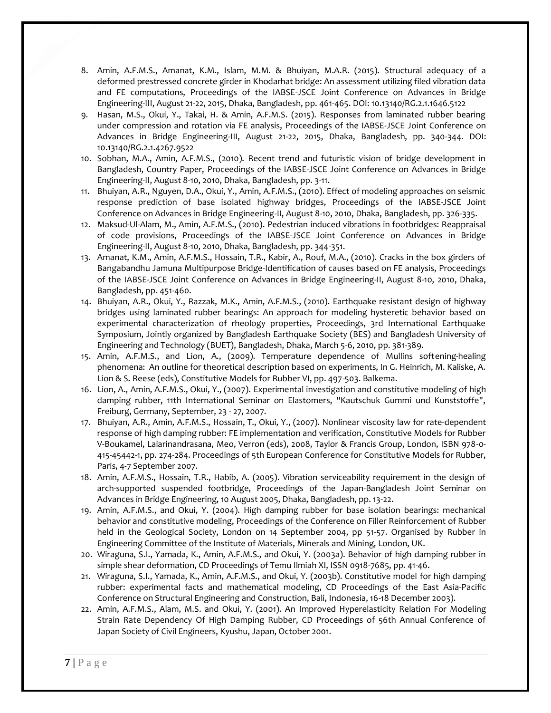- 8. Amin, A.F.M.S., Amanat, K.M., Islam, M.M. & Bhuiyan, M.A.R. (2015). Structural adequacy of a deformed prestressed concrete girder in Khodarhat bridge: An assessment utilizing filed vibration data and FE computations, Proceedings of the IABSE-JSCE Joint Conference on Advances in Bridge Engineering-III, August 21-22, 2015, Dhaka, Bangladesh, pp. 461-465. DOI: 10.13140/RG.2.1.1646.5122
- 9. Hasan, M.S., Okui, Y., Takai, H. & Amin, A.F.M.S. (2015). Responses from laminated rubber bearing under compression and rotation via FE analysis, Proceedings of the IABSE-JSCE Joint Conference on Advances in Bridge Engineering-III, August 21-22, 2015, Dhaka, Bangladesh, pp. 340-344. DOI: 10.13140/RG.2.1.4267.9522
- 10. Sobhan, M.A., Amin, A.F.M.S., (2010). Recent trend and futuristic vision of bridge development in Bangladesh, Country Paper, Proceedings of the IABSE-JSCE Joint Conference on Advances in Bridge Engineering-II, August 8-10, 2010, Dhaka, Bangladesh, pp. 3-11.
- 11. Bhuiyan, A.R., Nguyen, D.A., Okui, Y., Amin, A.F.M.S., (2010). Effect of modeling approaches on seismic response prediction of base isolated highway bridges, Proceedings of the IABSE-JSCE Joint Conference on Advances in Bridge Engineering-II, August 8-10, 2010, Dhaka, Bangladesh, pp. 326-335.
- 12. Maksud-Ul-Alam, M., Amin, A.F.M.S., (2010). Pedestrian induced vibrations in footbridges: Reappraisal of code provisions, Proceedings of the IABSE-JSCE Joint Conference on Advances in Bridge Engineering-II, August 8-10, 2010, Dhaka, Bangladesh, pp. 344-351.
- 13. Amanat, K.M., Amin, A.F.M.S., Hossain, T.R., Kabir, A., Rouf, M.A., (2010). Cracks in the box girders of Bangabandhu Jamuna Multipurpose Bridge-Identification of causes based on FE analysis, Proceedings of the IABSE-JSCE Joint Conference on Advances in Bridge Engineering-II, August 8-10, 2010, Dhaka, Bangladesh, pp. 451-460.
- 14. Bhuiyan, A.R., Okui, Y., Razzak, M.K., Amin, A.F.M.S., (2010). Earthquake resistant design of highway bridges using laminated rubber bearings: An approach for modeling hysteretic behavior based on experimental characterization of rheology properties, Proceedings, 3rd International Earthquake Symposium, Jointly organized by Bangladesh Earthquake Society (BES) and Bangladesh University of Engineering and Technology (BUET), Bangladesh, Dhaka, March 5-6, 2010, pp. 381-389.
- 15. Amin, A.F.M.S., and Lion, A., (2009). Temperature dependence of Mullins softening-healing phenomena: An outline for theoretical description based on experiments, In G. Heinrich, M. Kaliske, A. Lion & S. Reese (eds), Constitutive Models for Rubber VI, pp. 497-503. Balkema.
- 16. Lion, A., Amin, A.F.M.S., Okui, Y., (2007). Experimental investigation and constitutive modeling of high damping rubber, 11th International Seminar on Elastomers, "Kautschuk Gummi und Kunststoffe", Freiburg, Germany, September, 23 - 27, 2007.
- 17. Bhuiyan, A.R., Amin, A.F.M.S., Hossain, T., Okui, Y., (2007). Nonlinear viscosity law for rate-dependent response of high damping rubber: FE implementation and verification, Constitutive Models for Rubber V-Boukamel, Laiarinandrasana, Meo, Verron (eds), 2008, Taylor & Francis Group, London, ISBN 978-0- 415-45442-1, pp. 274-284. Proceedings of 5th European Conference for Constitutive Models for Rubber, Paris, 4-7 September 2007.
- 18. Amin, A.F.M.S., Hossain, T.R., Habib, A. (2005). Vibration serviceability requirement in the design of arch-supported suspended footbridge, Proceedings of the Japan-Bangladesh Joint Seminar on Advances in Bridge Engineering, 10 August 2005, Dhaka, Bangladesh, pp. 13-22.
- 19. Amin, A.F.M.S., and Okui, Y. (2004). High damping rubber for base isolation bearings: mechanical behavior and constitutive modeling, Proceedings of the Conference on Filler Reinforcement of Rubber held in the Geological Society, London on 14 September 2004, pp 51-57. Organised by Rubber in Engineering Committee of the Institute of Materials, Minerals and Mining, London, UK.
- 20. Wiraguna, S.I., Yamada, K., Amin, A.F.M.S., and Okui, Y. (2003a). Behavior of high damping rubber in simple shear deformation, CD Proceedings of Temu Ilmiah XI, ISSN 0918-7685, pp. 41-46.
- 21. Wiraguna, S.I., Yamada, K., Amin, A.F.M.S., and Okui, Y. (2003b). Constitutive model for high damping rubber: experimental facts and mathematical modeling, CD Proceedings of the East Asia-Pacific Conference on Structural Engineering and Construction, Bali, Indonesia, 16-18 December 2003).
- 22. Amin, A.F.M.S., Alam, M.S. and Okui, Y. (2001). An Improved Hyperelasticity Relation For Modeling Strain Rate Dependency Of High Damping Rubber, CD Proceedings of 56th Annual Conference of Japan Society of Civil Engineers, Kyushu, Japan, October 2001.